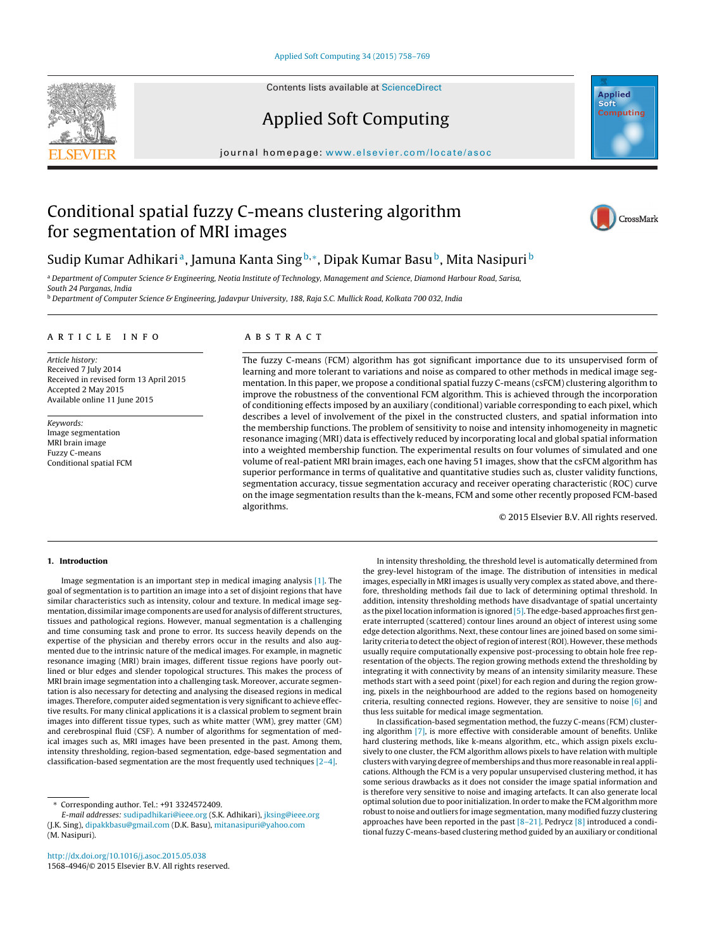

## Applied Soft Computing



#### iournal homepage: <www.elsevier.com/locate/asoc>

### Conditional spatial fuzzy C-means clustering algorithm for segmentation of MRI images



### Sudip Kumar Adhikari<sup>a</sup>, Jamuna Kanta Sing<sup>b,∗</sup>, Dipak Kumar Basu<sup>b</sup>, Mita Nasipuri<sup>b</sup>

a Department of Computer Science & Engineering, Neotia Institute of Technology, Management and Science, Diamond Harbour Road, Sarisa, South 24 Parganas, India

<sup>b</sup> Department of Computer Science & Engineering, Jadavpur University, 188, Raja S.C. Mullick Road, Kolkata 700 032, India

#### a r t i c l e i n f o

Article history: Received 7 July 2014 Received in revised form 13 April 2015 Accepted 2 May 2015 Available online 11 June 2015

Keywords: Image segmentation MRI brain image Fuzzy C-means Conditional spatial FCM

#### A B S T R A C T

The fuzzy C-means (FCM) algorithm has got significant importance due to its unsupervised form of learning and more tolerant to variations and noise as compared to other methods in medical image segmentation. In this paper, we propose a conditional spatial fuzzy C-means (csFCM) clustering algorithm to improve the robustness of the conventional FCM algorithm. This is achieved through the incorporation of conditioning effects imposed by an auxiliary (conditional) variable corresponding to each pixel, which describes a level of involvement of the pixel in the constructed clusters, and spatial information into the membership functions. The problem of sensitivity to noise and intensity inhomogeneity in magnetic resonance imaging (MRI) data is effectively reduced by incorporating local and global spatial information into a weighted membership function. The experimental results on four volumes of simulated and one volume of real-patient MRI brain images, each one having 51 images, show that the csFCM algorithm has superior performance in terms of qualitative and quantitative studies such as, cluster validity functions, segmentation accuracy, tissue segmentation accuracy and receiver operating characteristic (ROC) curve on the image segmentation results than the k-means, FCM and some other recently proposed FCM-based algorithms.

© 2015 Elsevier B.V. All rights reserved.

#### **1. Introduction**

Image segmentation is an important step in medical imaging analysis [\[1\].](#page--1-0) The goal of segmentation is to partition an image into a set of disjoint regions that have similar characteristics such as intensity, colour and texture. In medical image segmentation, dissimilar image components are used for analysis of different structures, tissues and pathological regions. However, manual segmentation is a challenging and time consuming task and prone to error. Its success heavily depends on the expertise of the physician and thereby errors occur in the results and also augmented due to the intrinsic nature of the medical images. For example, in magnetic resonance imaging (MRI) brain images, different tissue regions have poorly outlined or blur edges and slender topological structures. This makes the process of MRI brain image segmentation into a challenging task. Moreover, accurate segmentation is also necessary for detecting and analysing the diseased regions in medical images. Therefore, computer aided segmentation is very significantto achieve effective results. For many clinical applications it is a classical problem to segment brain images into different tissue types, such as white matter (WM), grey matter (GM) and cerebrospinal fluid (CSF). A number of algorithms for segmentation of medical images such as, MRI images have been presented in the past. Among them, intensity thresholding, region-based segmentation, edge-based segmentation and classification-based segmentation are the most frequently used techniques [\[2–4\].](#page--1-0)

In intensity thresholding, the threshold level is automatically determined from the grey-level histogram of the image. The distribution of intensities in medical images, especially in MRI images is usually very complex as stated above, and therefore, thresholding methods fail due to lack of determining optimal threshold. In addition, intensity thresholding methods have disadvantage of spatial uncertainty as the pixel location information is ignored [\[5\].](#page--1-0) The edge-based approaches first generate interrupted (scattered) contour lines around an object of interest using some edge detection algorithms. Next, these contour lines are joined based on some similarity criteria to detect the object of region of interest (ROI). However, these methods usually require computationally expensive post-processing to obtain hole free representation of the objects. The region growing methods extend the thresholding by integrating it with connectivity by means of an intensity similarity measure. These methods start with a seed point (pixel) for each region and during the region growing, pixels in the neighbourhood are added to the regions based on homogeneity criteria, resulting connected regions. However, they are sensitive to noise [\[6\]](#page--1-0) and thus less suitable for medical image segmentation.

In classification-based segmentation method, the fuzzy C-means (FCM) clustering algorithm [\[7\],](#page--1-0) is more effective with considerable amount of benefits. Unlike hard clustering methods, like k-means algorithm, etc., which assign pixels exclusively to one cluster, the FCM algorithm allows pixels to have relation with multiple clusters with varying degree of memberships and thus more reasonable in real applications. Although the FCM is a very popular unsupervised clustering method, it has some serious drawbacks as it does not consider the image spatial information and is therefore very sensitive to noise and imaging artefacts. It can also generate local optimal solution due to poor initialization. In order to make the FCM algorithm more robust to noise and outliers for image segmentation, many modified fuzzy clustering approaches have been reported in the past  $[8-21]$ . Pedrycz  $[8]$  introduced a conditional fuzzy C-means-based clustering method guided by an auxiliary or conditional

<sup>∗</sup> Corresponding author. Tel.: +91 3324572409.

E-mail addresses: [sudipadhikari@ieee.org](mailto:sudipadhikari@ieee.org) (S.K. Adhikari), [jksing@ieee.org](mailto:jksing@ieee.org) (J.K. Sing), [dipakkbasu@gmail.com](mailto:dipakkbasu@gmail.com) (D.K. Basu), [mitanasipuri@yahoo.com](mailto:mitanasipuri@yahoo.com) (M. Nasipuri).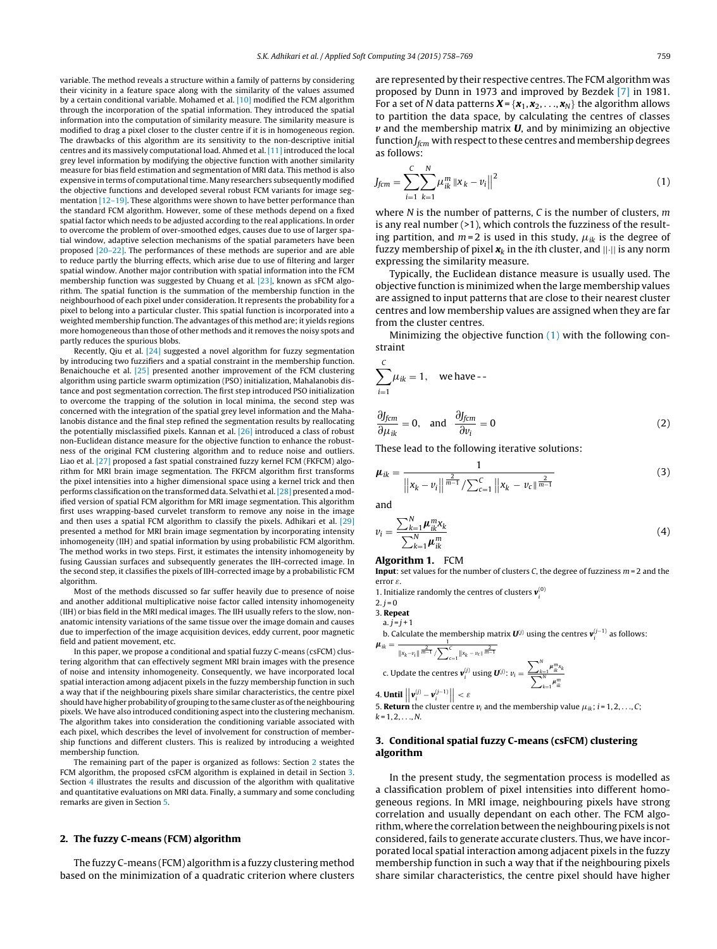variable. The method reveals a structure within a family of patterns by considering their vicinity in a feature space along with the similarity of the values assumed by a certain conditional variable. Mohamed et al. [\[10\]](#page--1-0) modified the FCM algorithm through the incorporation of the spatial information. They introduced the spatial information into the computation of similarity measure. The similarity measure is modified to drag a pixel closer to the cluster centre if it is in homogeneous region. The drawbacks of this algorithm are its sensitivity to the non-descriptive initial centres and its massively computational load. Ahmed et al. [\[11\]](#page--1-0) introduced the local grey level information by modifying the objective function with another similarity measure for bias field estimation and segmentation of MRI data. This method is also expensive in terms of computationaltime. Many researchers subsequently modified the objective functions and developed several robust FCM variants for image segmentation  $[12-19]$ . These algorithms were shown to have better performance than the standard FCM algorithm. However, some of these methods depend on a fixed spatial factor which needs to be adjusted according to the real applications. In order to overcome the problem of over-smoothed edges, causes due to use of larger spatial window, adaptive selection mechanisms of the spatial parameters have been proposed [\[20–22\].](#page--1-0) The performances of these methods are superior and are able to reduce partly the blurring effects, which arise due to use of filtering and larger spatial window. Another major contribution with spatial information into the FCM membership function was suggested by Chuang et al. [\[23\],](#page--1-0) known as sFCM algorithm. The spatial function is the summation of the membership function in the neighbourhood of each pixel under consideration. It represents the probability for a pixel to belong into a particular cluster. This spatial function is incorporated into a weighted membership function. The advantages of this method are; it yields regions more homogeneous than those of other methods and it removes the noisy spots and partly reduces the spurious blobs.

Recently, Qiu et al. [\[24\]](#page--1-0) suggested a novel algorithm for fuzzy segmentation by introducing two fuzzifiers and a spatial constraint in the membership function. Benaichouche et al. [\[25\]](#page--1-0) presented another improvement of the FCM clustering algorithm using particle swarm optimization (PSO) initialization, Mahalanobis distance and post segmentation correction. The first step introduced PSO initialization to overcome the trapping of the solution in local minima, the second step was concerned with the integration of the spatial grey level information and the Mahalanobis distance and the final step refined the segmentation results by reallocating the potentially misclassified pixels. Kannan et al. [\[26\]](#page--1-0) introduced a class of robust non-Euclidean distance measure for the objective function to enhance the robustness of the original FCM clustering algorithm and to reduce noise and outliers. Liao et al. [\[27\]](#page--1-0) proposed a fast spatial constrained fuzzy kernel FCM (FKFCM) algorithm for MRI brain image segmentation. The FKFCM algorithm first transforms the pixel intensities into a higher dimensional space using a kernel trick and then performs classification on the transformed data. Selvathi et al. [\[28\]](#page--1-0) presented a modified version of spatial FCM algorithm for MRI image segmentation. This algorithm first uses wrapping-based curvelet transform to remove any noise in the image and then uses a spatial FCM algorithm to classify the pixels. Adhikari et al. [\[29\]](#page--1-0) presented a method for MRI brain image segmentation by incorporating intensity inhomogeneity (IIH) and spatial information by using probabilistic FCM algorithm. The method works in two steps. First, it estimates the intensity inhomogeneity by fusing Gaussian surfaces and subsequently generates the IIH-corrected image. In the second step, it classifies the pixels of IIH-corrected image by a probabilistic FCM algorithm.

Most of the methods discussed so far suffer heavily due to presence of noise and another additional multiplicative noise factor called intensity inhomogeneity (IIH) or bias field in the MRI medical images. The IIH usually refers to the slow, nonanatomic intensity variations of the same tissue over the image domain and causes due to imperfection of the image acquisition devices, eddy current, poor magnetic field and patient movement, etc.

In this paper, we propose a conditional and spatial fuzzy C-means (csFCM) clustering algorithm that can effectively segment MRI brain images with the presence of noise and intensity inhomogeneity. Consequently, we have incorporated local spatial interaction among adjacent pixels in the fuzzy membership function in such a way that if the neighbouring pixels share similar characteristics, the centre pixel should have higher probability of grouping to the same cluster as of the neighbouring pixels. We have also introduced conditioning aspect into the clustering mechanism. The algorithm takes into consideration the conditioning variable associated with each pixel, which describes the level of involvement for construction of membership functions and different clusters. This is realized by introducing a weighted membership function.

The remaining part of the paper is organized as follows: Section 2 states the FCM algorithm, the proposed csFCM algorithm is explained in detail in Section 3. Section [4](#page--1-0) illustrates the results and discussion of the algorithm with qualitative and quantitative evaluations on MRI data. Finally, a summary and some concluding remarks are given in Section [5.](#page--1-0)

#### **2. The fuzzy C-means (FCM) algorithm**

The fuzzy C-means (FCM) algorithm is a fuzzy clustering method based on the minimization of a quadratic criterion where clusters are represented by their respective centres. The FCM algorithm was proposed by Dunn in 1973 and improved by Bezdek [\[7\]](#page--1-0) in 1981. For a set of N data patterns  $X = \{x_1, x_2, \ldots, x_N\}$  the algorithm allows to partition the data space, by calculating the centres of classes *v* and the membership matrix **U**, and by minimizing an objective function  $J_{fcm}$  with respect to these centres and membership degrees as follows:

$$
J_{fcm} = \sum_{i=1}^{C} \sum_{k=1}^{N} \mu_{ik}^{m} ||x_{k} - v_{i}||^{2}
$$
 (1)

where  $N$  is the number of patterns,  $C$  is the number of clusters,  $m$ is any real number (>1), which controls the fuzziness of the resulting partition, and  $m=2$  is used in this study,  $\mu_{ik}$  is the degree of fuzzy membership of pixel  $x_k$  in the *i*th cluster, and  $|| \cdot ||$  is any norm expressing the similarity measure.

Typically, the Euclidean distance measure is usually used. The objective function is minimized when the large membership values are assigned to input patterns that are close to their nearest cluster centres and low membership values are assigned when they are far from the cluster centres.

Minimizing the objective function (1) with the following constraint

$$
\sum_{i=1}^{C} \mu_{ik} = 1, \text{ we have --}
$$
  

$$
\frac{\partial J_{fcm}}{\partial \mu_{ik}} = 0, \text{ and } \frac{\partial J_{fcm}}{\partial \nu_{i}} = 0
$$
 (2)

These lead to the following iterative solutions:

$$
\mu_{ik} = \frac{1}{\left\|x_k - v_i\right\|^{\frac{2}{m-1}} / \sum_{c=1}^{C} \left\|x_k - v_c\right\|^{\frac{2}{m-1}}}
$$
(3)

and

$$
v_{i} = \frac{\sum_{k=1}^{N} \mu_{ik}^{m} x_{k}}{\sum_{k=1}^{N} \mu_{ik}^{m}}
$$
(4)

#### **Algorithm 1.** FCM

**Input**: set values for the number of clusters  $C$ , the degree of fuzziness  $m = 2$  and the error  $\varepsilon$ .

1. Initialize randomly the centres of clusters  $\mathbf{v}_i^{(0)}$ 

$$
2.j=0
$$

3. **Repeat**  $a. j = j + 1$ 

b. Calculate the membership matrix  $U^{(j)}$  using the centres  $v_j^{(j-1)}$  as follows:

$$
\mu_{ik} = \frac{1}{\|x_k - v_i\|^{\frac{2}{m-1}} / \sum_{c=1}^1 \|x_k - v_c\|^{\frac{2}{m-1}}}
$$
  
c. Update the centres  $\mathbf{v}_i^{(j)}$  using  $\mathbf{U}^{(j)}$ :  $v_i = \frac{\sum_{k=1}^N \mu_{ik}^m x_k}{\sum_{k=1}^N \mu_{ik}^m}$ 

4. **Until** 
$$
\left\| \mathbf{v}_i^{(j)} - \mathbf{v}_i^{(j-1)} \right\| < \varepsilon
$$
  
5. **Return** the cluster centre  $v_i$  and the membership value  $\mu_{ik}$ ;  $i = 1, 2, ..., C$ ;  $k = 1, 2, ..., N$ .

#### **3. Conditional spatial fuzzy C-means (csFCM) clustering algorithm**

In the present study, the segmentation process is modelled as a classification problem of pixel intensities into different homogeneous regions. In MRI image, neighbouring pixels have strong correlation and usually dependant on each other. The FCM algorithm, where the correlation between the neighbouring pixels is not considered, fails to generate accurate clusters. Thus, we have incorporated local spatial interaction among adjacent pixels in the fuzzy membership function in such a way that if the neighbouring pixels share similar characteristics, the centre pixel should have higher